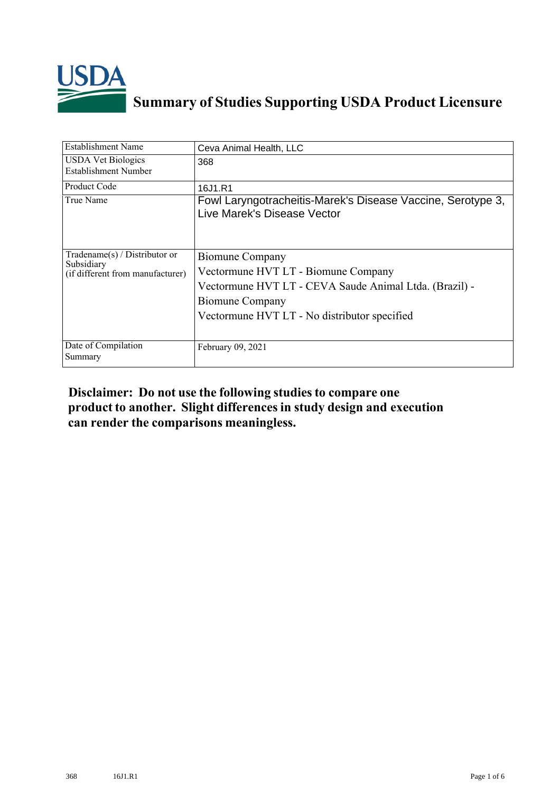

## **Summary of Studies Supporting USDA Product Licensure**

| <b>Establishment Name</b>                                                          | Ceva Animal Health, LLC                                                                                                                                                                    |
|------------------------------------------------------------------------------------|--------------------------------------------------------------------------------------------------------------------------------------------------------------------------------------------|
| <b>USDA Vet Biologics</b><br>Establishment Number                                  | 368                                                                                                                                                                                        |
| Product Code                                                                       | 16J1.R1                                                                                                                                                                                    |
| True Name                                                                          | Fowl Laryngotracheitis-Marek's Disease Vaccine, Serotype 3,<br>Live Marek's Disease Vector                                                                                                 |
| Tradename $(s)$ / Distributor or<br>Subsidiary<br>(if different from manufacturer) | Biomune Company<br>Vectormune HVT LT - Biomune Company<br>Vectormune HVT LT - CEVA Saude Animal Ltda. (Brazil) -<br><b>Biomune Company</b><br>Vectormune HVT LT - No distributor specified |
| Date of Compilation<br>Summary                                                     | February 09, 2021                                                                                                                                                                          |

## **Disclaimer: Do not use the following studiesto compare one product to another. Slight differencesin study design and execution can render the comparisons meaningless.**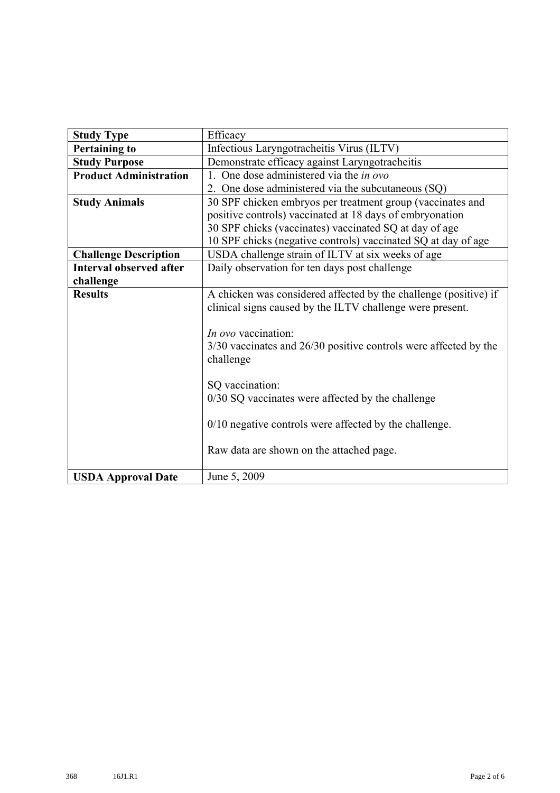| <b>Study Type</b>              | Efficacy                                                             |  |  |  |  |
|--------------------------------|----------------------------------------------------------------------|--|--|--|--|
| <b>Pertaining to</b>           | Infectious Laryngotracheitis Virus (ILTV)                            |  |  |  |  |
| <b>Study Purpose</b>           | Demonstrate efficacy against Laryngotracheitis                       |  |  |  |  |
| <b>Product Administration</b>  | 1. One dose administered via the in ovo                              |  |  |  |  |
|                                | 2. One dose administered via the subcutaneous (SQ)                   |  |  |  |  |
| <b>Study Animals</b>           | 30 SPF chicken embryos per treatment group (vaccinates and           |  |  |  |  |
|                                | positive controls) vaccinated at 18 days of embryonation             |  |  |  |  |
|                                | 30 SPF chicks (vaccinates) vaccinated SQ at day of age               |  |  |  |  |
|                                | 10 SPF chicks (negative controls) vaccinated SQ at day of age        |  |  |  |  |
| <b>Challenge Description</b>   | USDA challenge strain of ILTV at six weeks of age                    |  |  |  |  |
| <b>Interval observed after</b> | Daily observation for ten days post challenge                        |  |  |  |  |
| challenge                      |                                                                      |  |  |  |  |
| <b>Results</b>                 | A chicken was considered affected by the challenge (positive) if     |  |  |  |  |
|                                | clinical signs caused by the ILTV challenge were present.            |  |  |  |  |
|                                |                                                                      |  |  |  |  |
|                                | <i>In ovo</i> vaccination:                                           |  |  |  |  |
|                                | $3/30$ vaccinates and $26/30$ positive controls were affected by the |  |  |  |  |
|                                | challenge                                                            |  |  |  |  |
|                                |                                                                      |  |  |  |  |
|                                | SQ vaccination:                                                      |  |  |  |  |
|                                | 0/30 SQ vaccinates were affected by the challenge                    |  |  |  |  |
|                                |                                                                      |  |  |  |  |
|                                | $0/10$ negative controls were affected by the challenge.             |  |  |  |  |
|                                |                                                                      |  |  |  |  |
|                                | Raw data are shown on the attached page.                             |  |  |  |  |
|                                | June 5, 2009                                                         |  |  |  |  |
| <b>USDA Approval Date</b>      |                                                                      |  |  |  |  |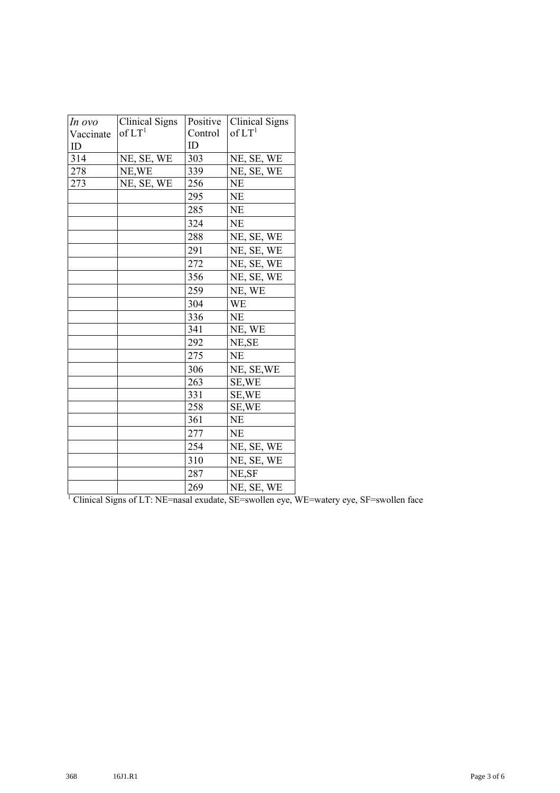| In ovo    | <b>Clinical Signs</b> | Positive | Clinical Signs     |
|-----------|-----------------------|----------|--------------------|
| Vaccinate | of LT <sup>1</sup>    | Control  | of LT <sup>1</sup> |
| ID        |                       | ID       |                    |
| 314       | NE, SE, WE            | 303      | NE, SE, WE         |
| 278       | NE, WE                | 339      | NE, SE, WE         |
| 273       | NE, SE, WE            | 256      | <b>NE</b>          |
|           |                       | 295      | <b>NE</b>          |
|           |                       | 285      | <b>NE</b>          |
|           |                       | 324      | <b>NE</b>          |
|           |                       | 288      | NE, SE, WE         |
|           |                       | 291      | NE, SE, WE         |
|           |                       | 272      | NE, SE, WE         |
|           |                       | 356      | NE, SE, WE         |
|           |                       | 259      | NE, WE             |
|           |                       | 304      | <b>WE</b>          |
|           |                       | 336      | NE                 |
|           |                       | 341      | NE, WE             |
|           |                       | 292      | NE, SE             |
|           |                       | 275      | <b>NE</b>          |
|           |                       | 306      | NE, SE, WE         |
|           |                       | 263      | SE, WE             |
|           |                       | 331      | SE, WE             |
|           |                       | 258      | SE, WE             |
|           |                       | 361      | <b>NE</b>          |
|           |                       | 277      | <b>NE</b>          |
|           |                       | 254      | NE, SE, WE         |
|           |                       | 310      | NE, SE, WE         |
|           |                       | 287      | NE, SF             |
|           |                       | 269      | NE, SE, WE         |

<sup>1</sup> Clinical Signs of LT: NE=nasal exudate, SE=swollen eye, WE=watery eye, SF=swollen face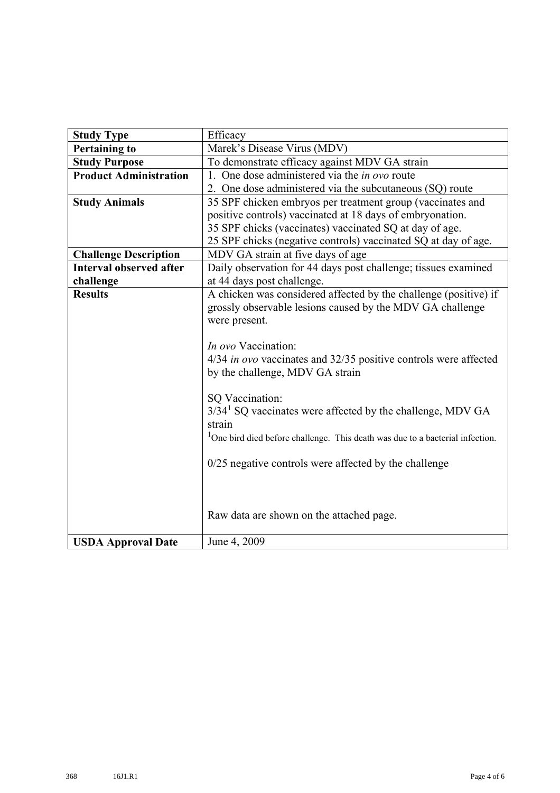| <b>Study Type</b>              | Efficacy                                                                                  |  |  |  |  |  |
|--------------------------------|-------------------------------------------------------------------------------------------|--|--|--|--|--|
| <b>Pertaining to</b>           | Marek's Disease Virus (MDV)                                                               |  |  |  |  |  |
| <b>Study Purpose</b>           | To demonstrate efficacy against MDV GA strain                                             |  |  |  |  |  |
| <b>Product Administration</b>  | 1. One dose administered via the <i>in ovo</i> route                                      |  |  |  |  |  |
|                                | 2. One dose administered via the subcutaneous (SQ) route                                  |  |  |  |  |  |
| <b>Study Animals</b>           | 35 SPF chicken embryos per treatment group (vaccinates and                                |  |  |  |  |  |
|                                | positive controls) vaccinated at 18 days of embryonation.                                 |  |  |  |  |  |
|                                | 35 SPF chicks (vaccinates) vaccinated SQ at day of age.                                   |  |  |  |  |  |
|                                | 25 SPF chicks (negative controls) vaccinated SQ at day of age.                            |  |  |  |  |  |
| <b>Challenge Description</b>   | MDV GA strain at five days of age                                                         |  |  |  |  |  |
| <b>Interval observed after</b> | Daily observation for 44 days post challenge; tissues examined                            |  |  |  |  |  |
| challenge                      | at 44 days post challenge.                                                                |  |  |  |  |  |
| <b>Results</b>                 | A chicken was considered affected by the challenge (positive) if                          |  |  |  |  |  |
|                                | grossly observable lesions caused by the MDV GA challenge                                 |  |  |  |  |  |
|                                | were present.                                                                             |  |  |  |  |  |
|                                |                                                                                           |  |  |  |  |  |
|                                | In ovo Vaccination:                                                                       |  |  |  |  |  |
|                                | 4/34 in ovo vaccinates and 32/35 positive controls were affected                          |  |  |  |  |  |
|                                | by the challenge, MDV GA strain                                                           |  |  |  |  |  |
|                                |                                                                                           |  |  |  |  |  |
|                                | SQ Vaccination:                                                                           |  |  |  |  |  |
|                                | 3/34 <sup>1</sup> SQ vaccinates were affected by the challenge, MDV GA                    |  |  |  |  |  |
|                                | strain                                                                                    |  |  |  |  |  |
|                                | <sup>1</sup> One bird died before challenge. This death was due to a bacterial infection. |  |  |  |  |  |
|                                |                                                                                           |  |  |  |  |  |
|                                | $0/25$ negative controls were affected by the challenge                                   |  |  |  |  |  |
|                                |                                                                                           |  |  |  |  |  |
|                                |                                                                                           |  |  |  |  |  |
|                                |                                                                                           |  |  |  |  |  |
|                                | Raw data are shown on the attached page.                                                  |  |  |  |  |  |
|                                |                                                                                           |  |  |  |  |  |
| <b>USDA Approval Date</b>      | June 4, 2009                                                                              |  |  |  |  |  |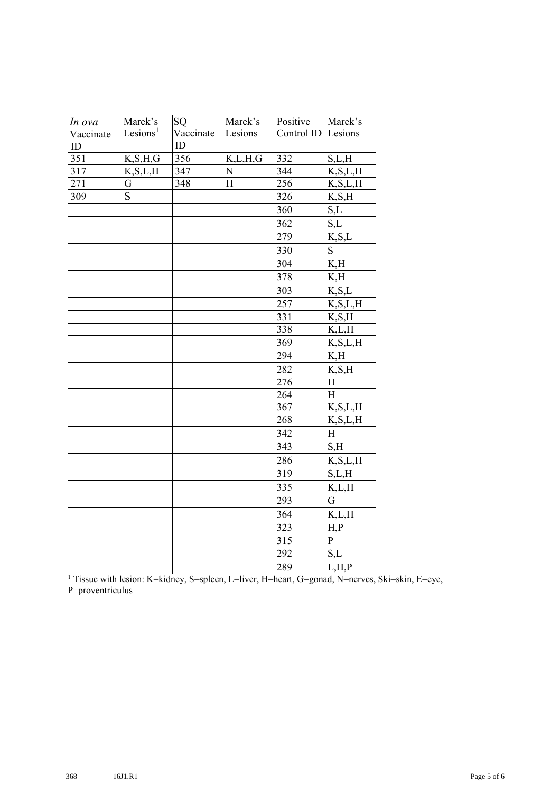| In ova           | Marek's              | SQ        | Marek's     | Positive   | Marek's        |
|------------------|----------------------|-----------|-------------|------------|----------------|
| Vaccinate        | Lesions <sup>1</sup> | Vaccinate | Lesions     | Control ID | Lesions        |
| ID               |                      | ID        |             |            |                |
| $\overline{351}$ | K, S, H, G           | 356       | K,L,H,G     | 332        | S,L,H          |
| 317              | K, S, L, H           | 347       | $\mathbf N$ | 344        | K, S, L, H     |
| 271              | G                    | 348       | H           | 256        | K, S, L, H     |
| 309              | S                    |           |             | 326        | K, S, H        |
|                  |                      |           |             | 360        | S,L            |
|                  |                      |           |             | 362        | S,L            |
|                  |                      |           |             | 279        | K, S, L        |
|                  |                      |           |             | 330        | $\mathbf S$    |
|                  |                      |           |             | 304        | K,H            |
|                  |                      |           |             | 378        | K,H            |
|                  |                      |           |             | 303        | K, S, L        |
|                  |                      |           |             | 257        | K, S, L, H     |
|                  |                      |           |             | 331        | K, S, H        |
|                  |                      |           |             | 338        | K, L, H        |
|                  |                      |           |             | 369        | K, S, L, H     |
|                  |                      |           |             | 294        | K,H            |
|                  |                      |           |             | 282        | K, S, H        |
|                  |                      |           |             | 276        | $\, {\rm H}$   |
|                  |                      |           |             | 264        | $\mathbf H$    |
|                  |                      |           |             | 367        | K, S, L, H     |
|                  |                      |           |             | 268        | K, S, L, H     |
|                  |                      |           |             | 342        | H              |
|                  |                      |           |             | 343        | S,H            |
|                  |                      |           |             | 286        | K, S, L, H     |
|                  |                      |           |             | 319        | S,L,H          |
|                  |                      |           |             | 335        | K,L,H          |
|                  |                      |           |             | 293        | $\mathbf G$    |
|                  |                      |           |             | 364        | K,L,H          |
|                  |                      |           |             | 323        | H, P           |
|                  |                      |           |             | 315        | $\overline{P}$ |
|                  |                      |           |             | 292        | S,L            |
|                  |                      |           |             | 289        | L, H, P        |

 Tissue with lesion: K=kidney, S=spleen, L=liver, H=heart, G=gonad, N=nerves, Ski=skin, E=eye, P=proventriculus